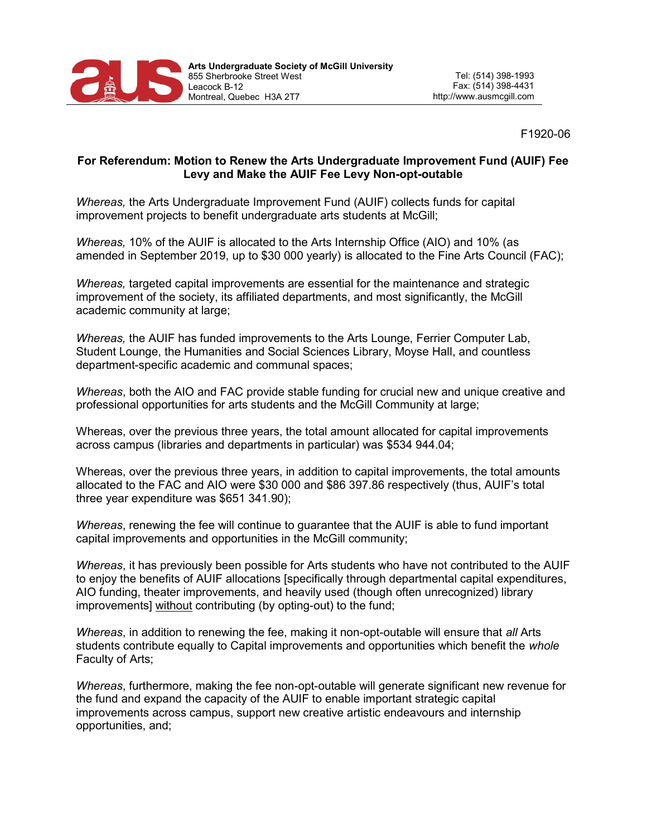

F1920-06

## For Referendum: Motion to Renew the Arts Undergraduate Improvement Fund (AUIF) Fee Levy and Make the AUIF Fee Levy Non-opt-outable

Whereas, the Arts Undergraduate Improvement Fund (AUIF) collects funds for capital improvement projects to benefit undergraduate arts students at McGill;

Whereas, 10% of the AUIF is allocated to the Arts Internship Office (AIO) and 10% (as amended in September 2019, up to \$30 000 yearly) is allocated to the Fine Arts Council (FAC);

Whereas, targeted capital improvements are essential for the maintenance and strategic improvement of the society, its affiliated departments, and most significantly, the McGill academic community at large;

Whereas, the AUIF has funded improvements to the Arts Lounge, Ferrier Computer Lab, Student Lounge, the Humanities and Social Sciences Library, Moyse Hall, and countless department-specific academic and communal spaces;

Whereas, both the AIO and FAC provide stable funding for crucial new and unique creative and professional opportunities for arts students and the McGill Community at large;

Whereas, over the previous three years, the total amount allocated for capital improvements across campus (libraries and departments in particular) was \$534 944.04;

Whereas, over the previous three years, in addition to capital improvements, the total amounts allocated to the FAC and AIO were \$30 000 and \$86 397.86 respectively (thus, AUIF's total three year expenditure was \$651 341.90);

Whereas, renewing the fee will continue to quarantee that the AUIF is able to fund important capital improvements and opportunities in the McGill community;

Whereas, it has previously been possible for Arts students who have not contributed to the AUIF to enjoy the benefits of AUIF allocations [specifically through departmental capital expenditures, AIO funding, theater improvements, and heavily used (though often unrecognized) library improvements] without contributing (by opting-out) to the fund;

Whereas, in addition to renewing the fee, making it non-opt-outable will ensure that all Arts students contribute equally to Capital improvements and opportunities which benefit the whole Faculty of Arts;

Whereas, furthermore, making the fee non-opt-outable will generate significant new revenue for the fund and expand the capacity of the AUIF to enable important strategic capital improvements across campus, support new creative artistic endeavours and internship opportunities, and;